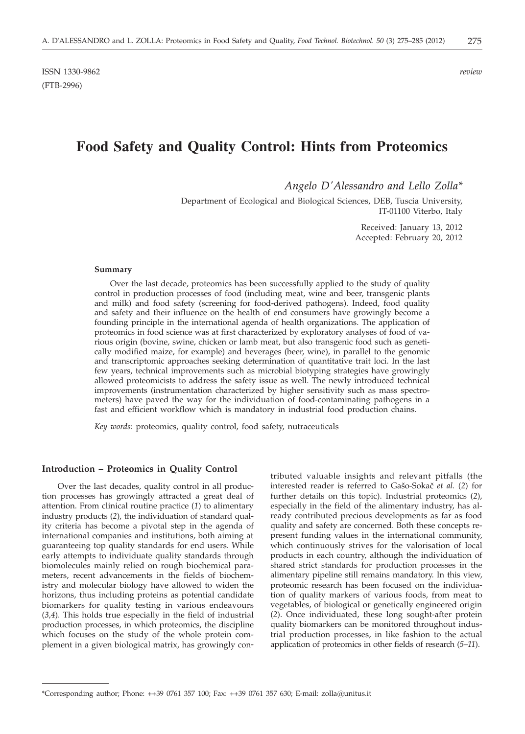# **Food Safety and Quality Control: Hints from Proteomics**

*Angelo D'Alessandro and Lello Zolla\**

Department of Ecological and Biological Sciences, DEB, Tuscia University, IT-01100 Viterbo, Italy

> Received: January 13, 2012 Accepted: February 20, 2012

#### **Summary**

Over the last decade, proteomics has been successfully applied to the study of quality control in production processes of food (including meat, wine and beer, transgenic plants and milk) and food safety (screening for food-derived pathogens). Indeed, food quality and safety and their influence on the health of end consumers have growingly become a founding principle in the international agenda of health organizations. The application of proteomics in food science was at first characterized by exploratory analyses of food of various origin (bovine, swine, chicken or lamb meat, but also transgenic food such as genetically modified maize, for example) and beverages (beer, wine), in parallel to the genomic and transcriptomic approaches seeking determination of quantitative trait loci. In the last few years, technical improvements such as microbial biotyping strategies have growingly allowed proteomicists to address the safety issue as well. The newly introduced technical improvements (instrumentation characterized by higher sensitivity such as mass spectrometers) have paved the way for the individuation of food-contaminating pathogens in a fast and efficient workflow which is mandatory in industrial food production chains.

*Key words*: proteomics, quality control, food safety, nutraceuticals

## **Introduction – Proteomics in Quality Control**

Over the last decades, quality control in all production processes has growingly attracted a great deal of attention. From clinical routine practice (*1*) to alimentary industry products (*2*), the individuation of standard quality criteria has become a pivotal step in the agenda of international companies and institutions, both aiming at guaranteeing top quality standards for end users. While early attempts to individuate quality standards through biomolecules mainly relied on rough biochemical parameters, recent advancements in the fields of biochemistry and molecular biology have allowed to widen the horizons, thus including proteins as potential candidate biomarkers for quality testing in various endeavours (*3,4*). This holds true especially in the field of industrial production processes, in which proteomics, the discipline which focuses on the study of the whole protein complement in a given biological matrix, has growingly con-

tributed valuable insights and relevant pitfalls (the interested reader is referred to Gašo-Sokač et al. (2) for further details on this topic). Industrial proteomics (*2*), especially in the field of the alimentary industry, has already contributed precious developments as far as food quality and safety are concerned. Both these concepts represent funding values in the international community, which continuously strives for the valorisation of local products in each country, although the individuation of shared strict standards for production processes in the alimentary pipeline still remains mandatory. In this view, proteomic research has been focused on the individuation of quality markers of various foods, from meat to vegetables, of biological or genetically engineered origin (*2*). Once individuated, these long sought-after protein quality biomarkers can be monitored throughout industrial production processes, in like fashion to the actual application of proteomics in other fields of research (*5–11*).

<sup>\*</sup>Corresponding author; Phone: ++39 0761 357 100; Fax: ++39 0761 357 630; E-mail: zolla@unitus.it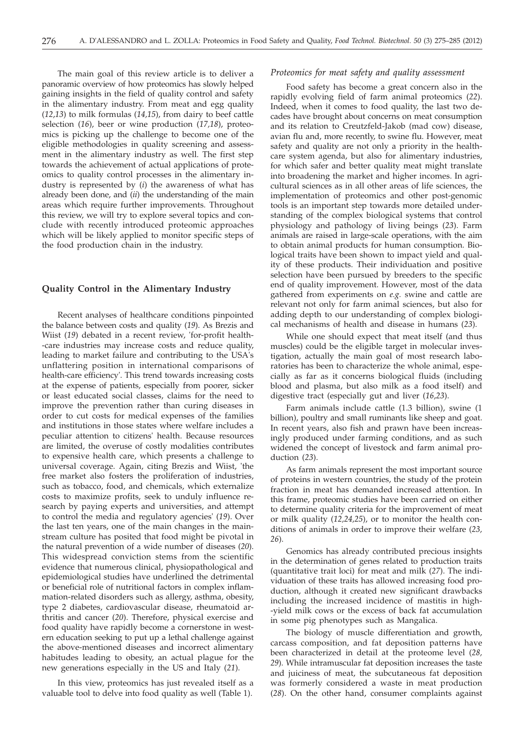The main goal of this review article is to deliver a panoramic overview of how proteomics has slowly helped gaining insights in the field of quality control and safety in the alimentary industry. From meat and egg quality (*12*,*13*) to milk formulas (*14,15*), from dairy to beef cattle selection (*16*), beer or wine production (*17,18*), proteomics is picking up the challenge to become one of the eligible methodologies in quality screening and assessment in the alimentary industry as well. The first step towards the achievement of actual applications of proteomics to quality control processes in the alimentary industry is represented by (*i*) the awareness of what has already been done, and (*ii*) the understanding of the main areas which require further improvements. Throughout this review, we will try to explore several topics and conclude with recently introduced proteomic approaches which will be likely applied to monitor specific steps of the food production chain in the industry.

## **Quality Control in the Alimentary Industry**

Recent analyses of healthcare conditions pinpointed the balance between costs and quality (*19*). As Brezis and Wiist (*19*) debated in a recent review, 'for-profit health- -care industries may increase costs and reduce quality, leading to market failure and contributing to the USA's unflattering position in international comparisons of health-care efficiency'. This trend towards increasing costs at the expense of patients, especially from poorer, sicker or least educated social classes, claims for the need to improve the prevention rather than curing diseases in order to cut costs for medical expenses of the families and institutions in those states where welfare includes a peculiar attention to citizens' health. Because resources are limited, the overuse of costly modalities contributes to expensive health care, which presents a challenge to universal coverage. Again, citing Brezis and Wiist, 'the free market also fosters the proliferation of industries, such as tobacco, food, and chemicals, which externalize costs to maximize profits, seek to unduly influence research by paying experts and universities, and attempt to control the media and regulatory agencies' (*19*). Over the last ten years, one of the main changes in the mainstream culture has posited that food might be pivotal in the natural prevention of a wide number of diseases (*20*). This widespread conviction stems from the scientific evidence that numerous clinical, physiopathological and epidemiological studies have underlined the detrimental or beneficial role of nutritional factors in complex inflammation-related disorders such as allergy, asthma, obesity, type 2 diabetes, cardiovascular disease, rheumatoid arthritis and cancer (*20*). Therefore, physical exercise and food quality have rapidly become a cornerstone in western education seeking to put up a lethal challenge against the above-mentioned diseases and incorrect alimentary habitudes leading to obesity, an actual plague for the new generations especially in the US and Italy (*21*).

In this view, proteomics has just revealed itself as a valuable tool to delve into food quality as well (Table 1).

## *Proteomics for meat safety and quality assessment*

Food safety has become a great concern also in the rapidly evolving field of farm animal proteomics (*22*). Indeed, when it comes to food quality, the last two decades have brought about concerns on meat consumption and its relation to Creutzfeld-Jakob (mad cow) disease, avian flu and, more recently, to swine flu. However, meat safety and quality are not only a priority in the healthcare system agenda, but also for alimentary industries, for which safer and better quality meat might translate into broadening the market and higher incomes. In agricultural sciences as in all other areas of life sciences, the implementation of proteomics and other post-genomic tools is an important step towards more detailed understanding of the complex biological systems that control physiology and pathology of living beings (*23*). Farm animals are raised in large-scale operations, with the aim to obtain animal products for human consumption. Biological traits have been shown to impact yield and quality of these products. Their individuation and positive selection have been pursued by breeders to the specific end of quality improvement. However, most of the data gathered from experiments on *e.g.* swine and cattle are relevant not only for farm animal sciences, but also for adding depth to our understanding of complex biological mechanisms of health and disease in humans (*23*).

While one should expect that meat itself (and thus muscles) could be the eligible target in molecular investigation, actually the main goal of most research laboratories has been to characterize the whole animal, especially as far as it concerns biological fluids (including blood and plasma, but also milk as a food itself) and digestive tract (especially gut and liver (*16*,*23*).

Farm animals include cattle (1.3 billion), swine (1 billion), poultry and small ruminants like sheep and goat. In recent years, also fish and prawn have been increasingly produced under farming conditions, and as such widened the concept of livestock and farm animal production (*23*).

As farm animals represent the most important source of proteins in western countries, the study of the protein fraction in meat has demanded increased attention. In this frame, proteomic studies have been carried on either to determine quality criteria for the improvement of meat or milk quality (*12,24,25*), or to monitor the health conditions of animals in order to improve their welfare (*23, 26*).

Genomics has already contributed precious insights in the determination of genes related to production traits (quantitative trait loci) for meat and milk (*27*). The individuation of these traits has allowed increasing food production, although it created new significant drawbacks including the increased incidence of mastitis in high- -yield milk cows or the excess of back fat accumulation in some pig phenotypes such as Mangalica.

The biology of muscle differentiation and growth, carcass composition, and fat deposition patterns have been characterized in detail at the proteome level (*28, 29*). While intramuscular fat deposition increases the taste and juiciness of meat, the subcutaneous fat deposition was formerly considered a waste in meat production (*28*). On the other hand, consumer complaints against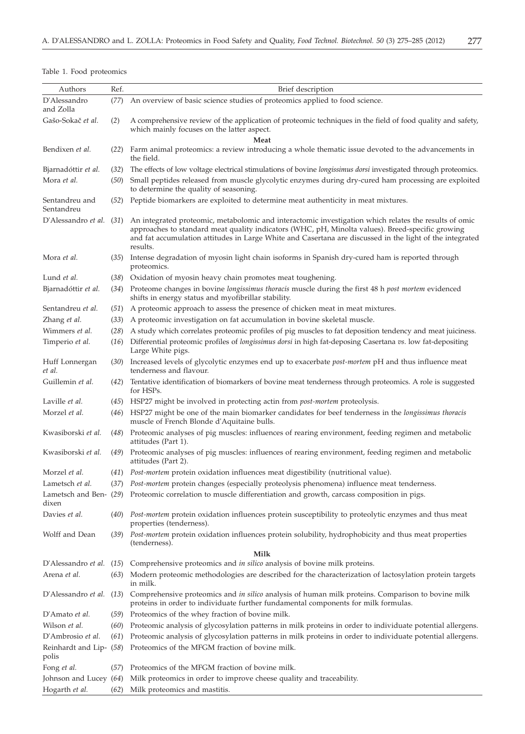|  |  |  |  | Table 1. Food proteomics |  |
|--|--|--|--|--------------------------|--|
|--|--|--|--|--------------------------|--|

| Authors                          | Ref. | Brief description                                                                                                                                                                                                                                                                                                                 |  |  |  |  |
|----------------------------------|------|-----------------------------------------------------------------------------------------------------------------------------------------------------------------------------------------------------------------------------------------------------------------------------------------------------------------------------------|--|--|--|--|
| D'Alessandro<br>and Zolla        | (77) | An overview of basic science studies of proteomics applied to food science.                                                                                                                                                                                                                                                       |  |  |  |  |
| Gašo-Sokač et al.                | (2)  | A comprehensive review of the application of proteomic techniques in the field of food quality and safety,<br>which mainly focuses on the latter aspect.                                                                                                                                                                          |  |  |  |  |
|                                  |      | Meat                                                                                                                                                                                                                                                                                                                              |  |  |  |  |
| Bendixen et al.                  | (22) | Farm animal proteomics: a review introducing a whole thematic issue devoted to the advancements in<br>the field.                                                                                                                                                                                                                  |  |  |  |  |
| Bjarnadóttir et al.              | (32) | The effects of low voltage electrical stimulations of bovine longissimus dorsi investigated through proteomics.                                                                                                                                                                                                                   |  |  |  |  |
| Mora et al.                      | (50) | Small peptides released from muscle glycolytic enzymes during dry-cured ham processing are exploited<br>to determine the quality of seasoning.                                                                                                                                                                                    |  |  |  |  |
| Sentandreu and<br>Sentandreu     | (52) | Peptide biomarkers are exploited to determine meat authenticity in meat mixtures.                                                                                                                                                                                                                                                 |  |  |  |  |
| D'Alessandro et al. (31)         |      | An integrated proteomic, metabolomic and interactomic investigation which relates the results of omic<br>approaches to standard meat quality indicators (WHC, pH, Minolta values). Breed-specific growing<br>and fat accumulation attitudes in Large White and Casertana are discussed in the light of the integrated<br>results. |  |  |  |  |
| Mora et al.                      |      | (35) Intense degradation of myosin light chain isoforms in Spanish dry-cured ham is reported through<br>proteomics.                                                                                                                                                                                                               |  |  |  |  |
| Lund et al.                      |      | (38) Oxidation of myosin heavy chain promotes meat toughening.                                                                                                                                                                                                                                                                    |  |  |  |  |
| Bjarnadóttir et al.              | (34) | Proteome changes in bovine longissimus thoracis muscle during the first 48 h post mortem evidenced<br>shifts in energy status and myofibrillar stability.                                                                                                                                                                         |  |  |  |  |
| Sentandreu et al.                | (51) | A proteomic approach to assess the presence of chicken meat in meat mixtures.                                                                                                                                                                                                                                                     |  |  |  |  |
| Zhang et al.                     | (33) | A proteomic investigation on fat accumulation in bovine skeletal muscle.                                                                                                                                                                                                                                                          |  |  |  |  |
| Wimmers et al.                   | (28) | A study which correlates proteomic profiles of pig muscles to fat deposition tendency and meat juiciness.                                                                                                                                                                                                                         |  |  |  |  |
| Timperio et al.                  | (16) | Differential proteomic profiles of <i>longissimus dorsi</i> in high fat-deposing Casertana vs. low fat-depositing<br>Large White pigs.                                                                                                                                                                                            |  |  |  |  |
| Huff Lonnergan<br>et al.         |      | (30) Increased levels of glycolytic enzymes end up to exacerbate <i>post-mortem</i> pH and thus influence meat<br>tenderness and flavour.                                                                                                                                                                                         |  |  |  |  |
| Guillemin et al.                 | (42) | Tentative identification of biomarkers of bovine meat tenderness through proteomics. A role is suggested<br>for HSPs.                                                                                                                                                                                                             |  |  |  |  |
| Laville et al.                   |      | (45) HSP27 might be involved in protecting actin from <i>post-mortem</i> proteolysis.                                                                                                                                                                                                                                             |  |  |  |  |
| Morzel et al.                    | (46) | HSP27 might be one of the main biomarker candidates for beef tenderness in the longissimus thoracis<br>muscle of French Blonde d'Aquitaine bulls.                                                                                                                                                                                 |  |  |  |  |
| Kwasiborski et al.               | (48) | Proteomic analyses of pig muscles: influences of rearing environment, feeding regimen and metabolic<br>attitudes (Part 1).                                                                                                                                                                                                        |  |  |  |  |
| Kwasiborski et al.               | (49) | Proteomic analyses of pig muscles: influences of rearing environment, feeding regimen and metabolic<br>attitudes (Part 2).                                                                                                                                                                                                        |  |  |  |  |
| Morzel et al.                    |      | (41) <i>Post-mortem</i> protein oxidation influences meat digestibility (nutritional value).                                                                                                                                                                                                                                      |  |  |  |  |
| Lametsch et al.                  |      | (37) Post-mortem protein changes (especially proteolysis phenomena) influence meat tenderness.                                                                                                                                                                                                                                    |  |  |  |  |
| dixen                            |      | Lametsch and Ben- (29) Proteomic correlation to muscle differentiation and growth, carcass composition in pigs.                                                                                                                                                                                                                   |  |  |  |  |
| Davies et al.                    |      | (40) Post-mortem protein oxidation influences protein susceptibility to proteolytic enzymes and thus meat<br>properties (tenderness).                                                                                                                                                                                             |  |  |  |  |
| Wolff and Dean                   |      | (39) Post-mortem protein oxidation influences protein solubility, hydrophobicity and thus meat properties<br>(tenderness).                                                                                                                                                                                                        |  |  |  |  |
| Milk                             |      |                                                                                                                                                                                                                                                                                                                                   |  |  |  |  |
| D'Alessandro <i>et al.</i> (15)  |      | Comprehensive proteomics and in silico analysis of bovine milk proteins.                                                                                                                                                                                                                                                          |  |  |  |  |
| Arena et al.                     | (63) | Modern proteomic methodologies are described for the characterization of lactosylation protein targets<br>in milk.                                                                                                                                                                                                                |  |  |  |  |
| D'Alessandro <i>et al.</i> (13)  |      | Comprehensive proteomics and in silico analysis of human milk proteins. Comparison to bovine milk<br>proteins in order to individuate further fundamental components for milk formulas.                                                                                                                                           |  |  |  |  |
| D'Amato et al.                   |      | (59) Proteomics of the whey fraction of bovine milk.                                                                                                                                                                                                                                                                              |  |  |  |  |
| Wilson et al.                    | (60) | Proteomic analysis of glycosylation patterns in milk proteins in order to individuate potential allergens.                                                                                                                                                                                                                        |  |  |  |  |
| D'Ambrosio et al.                | (61) | Proteomic analysis of glycosylation patterns in milk proteins in order to individuate potential allergens.                                                                                                                                                                                                                        |  |  |  |  |
| Reinhardt and Lip- (58)<br>polis |      | Proteomics of the MFGM fraction of bovine milk.                                                                                                                                                                                                                                                                                   |  |  |  |  |
| Fong et al.                      | (57) | Proteomics of the MFGM fraction of bovine milk.                                                                                                                                                                                                                                                                                   |  |  |  |  |
| Johnson and Lucey (64)           |      | Milk proteomics in order to improve cheese quality and traceability.                                                                                                                                                                                                                                                              |  |  |  |  |
| Hogarth et al.                   | (62) | Milk proteomics and mastitis.                                                                                                                                                                                                                                                                                                     |  |  |  |  |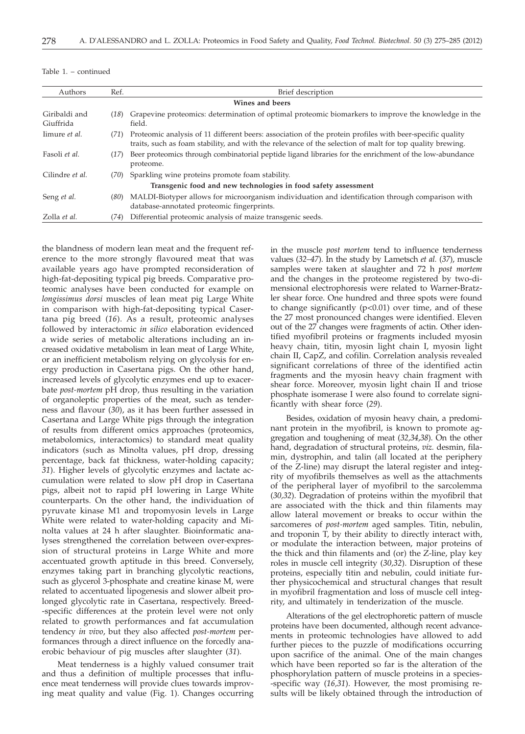| Authors                    | Ref. | Brief description                                                                                                                                                                                                    |  |  |
|----------------------------|------|----------------------------------------------------------------------------------------------------------------------------------------------------------------------------------------------------------------------|--|--|
|                            |      | Wines and beers                                                                                                                                                                                                      |  |  |
| Giribaldi and<br>Giuffrida | (18) | Grapevine proteomics: determination of optimal proteomic biomarkers to improve the knowledge in the<br>field.                                                                                                        |  |  |
| Iimure et al.              | (71) | Proteomic analysis of 11 different beers: association of the protein profiles with beer-specific quality<br>traits, such as foam stability, and with the relevance of the selection of malt for top quality brewing. |  |  |
| Fasoli et al.              | (17) | Beer proteomics through combinatorial peptide ligand libraries for the enrichment of the low-abundance<br>proteome.                                                                                                  |  |  |
| Cilindre et al.            | (70) | Sparkling wine proteins promote foam stability.                                                                                                                                                                      |  |  |
|                            |      | Transgenic food and new technologies in food safety assessment                                                                                                                                                       |  |  |
| Seng et al.                | (80) | MALDI-Biotyper allows for microorganism individuation and identification through comparison with<br>database-annotated proteomic fingerprints.                                                                       |  |  |
| Zolla et al.               | (74) | Differential proteomic analysis of maize transgenic seeds.                                                                                                                                                           |  |  |

the blandness of modern lean meat and the frequent reference to the more strongly flavoured meat that was available years ago have prompted reconsideration of high-fat-depositing typical pig breeds. Comparative proteomic analyses have been conducted for example on *longissimus dorsi* muscles of lean meat pig Large White in comparison with high-fat-depositing typical Casertana pig breed (*16*). As a result, proteomic analyses followed by interactomic *in silico* elaboration evidenced a wide series of metabolic alterations including an increased oxidative metabolism in lean meat of Large White, or an inefficient metabolism relying on glycolysis for energy production in Casertana pigs. On the other hand, increased levels of glycolytic enzymes end up to exacerbate *post-mortem* pH drop, thus resulting in the variation of organoleptic properties of the meat, such as tenderness and flavour (*30*), as it has been further assessed in Casertana and Large White pigs through the integration of results from different omics approaches (proteomics, metabolomics, interactomics) to standard meat quality indicators (such as Minolta values, pH drop, dressing percentage, back fat thickness, water-holding capacity; *31*). Higher levels of glycolytic enzymes and lactate accumulation were related to slow pH drop in Casertana pigs, albeit not to rapid pH lowering in Large White counterparts. On the other hand, the individuation of pyruvate kinase M1 and tropomyosin levels in Large White were related to water-holding capacity and Minolta values at 24 h after slaughter. Bioinformatic analyses strengthened the correlation between over-expression of structural proteins in Large White and more accentuated growth aptitude in this breed. Conversely, enzymes taking part in branching glycolytic reactions, such as glycerol 3-phosphate and creatine kinase M, were related to accentuated lipogenesis and slower albeit prolonged glycolytic rate in Casertana, respectively. Breed- -specific differences at the protein level were not only related to growth performances and fat accumulation tendency *in vivo*, but they also affected *post-mortem* performances through a direct influence on the forcedly anaerobic behaviour of pig muscles after slaughter (*31*).

Meat tenderness is a highly valued consumer trait and thus a definition of multiple processes that influence meat tenderness will provide clues towards improving meat quality and value (Fig. 1). Changes occurring

in the muscle *post mortem* tend to influence tenderness values (*32–47*). In the study by Lametsch *et al.* (*37*), muscle samples were taken at slaughter and 72 h *post mortem* and the changes in the proteome registered by two-dimensional electrophoresis were related to Warner-Bratzler shear force. One hundred and three spots were found to change significantly  $(p<0.01)$  over time, and of these the 27 most pronounced changes were identified. Eleven out of the 27 changes were fragments of actin. Other identified myofibril proteins or fragments included myosin heavy chain, titin, myosin light chain I, myosin light chain II, CapZ, and cofilin. Correlation analysis revealed significant correlations of three of the identified actin fragments and the myosin heavy chain fragment with shear force. Moreover, myosin light chain II and triose phosphate isomerase I were also found to correlate significantly with shear force (*29*).

Besides, oxidation of myosin heavy chain, a predominant protein in the myofibril, is known to promote aggregation and toughening of meat (*32,34*,*38*). On the other hand, degradation of structural proteins, *viz.* desmin, filamin, dystrophin, and talin (all located at the periphery of the Z-line) may disrupt the lateral register and integrity of myofibrils themselves as well as the attachments of the peripheral layer of myofibril to the sarcolemma (*30,32*). Degradation of proteins within the myofibril that are associated with the thick and thin filaments may allow lateral movement or breaks to occur within the sarcomeres of *post-mortem* aged samples. Titin, nebulin, and troponin T, by their ability to directly interact with, or modulate the interaction between, major proteins of the thick and thin filaments and (or) the Z-line, play key roles in muscle cell integrity (*30,32*). Disruption of these proteins, especially titin and nebulin, could initiate further physicochemical and structural changes that result in myofibril fragmentation and loss of muscle cell integrity, and ultimately in tenderization of the muscle.

Alterations of the gel electrophoretic pattern of muscle proteins have been documented, although recent advancements in proteomic technologies have allowed to add further pieces to the puzzle of modifications occurring upon sacrifice of the animal. One of the main changes which have been reported so far is the alteration of the phosphorylation pattern of muscle proteins in a species- -specific way (*16,31*). However, the most promising results will be likely obtained through the introduction of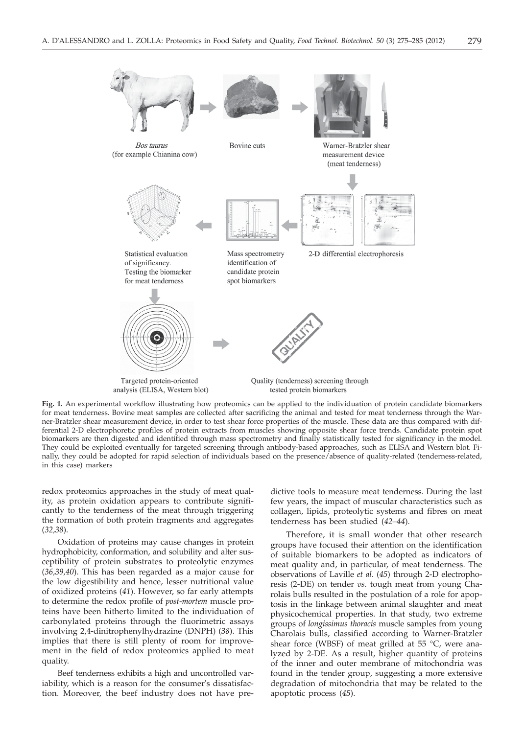

**Fig. 1.** An experimental workflow illustrating how proteomics can be applied to the individuation of protein candidate biomarkers for meat tenderness. Bovine meat samples are collected after sacrificing the animal and tested for meat tenderness through the Warner-Bratzler shear measurement device, in order to test shear force properties of the muscle. These data are thus compared with differential 2-D electrophoretic profiles of protein extracts from muscles showing opposite shear force trends. Candidate protein spot biomarkers are then digested and identified through mass spectrometry and finally statistically tested for significancy in the model. They could be exploited eventually for targeted screening through antibody-based approaches, such as ELISA and Western blot. Finally, they could be adopted for rapid selection of individuals based on the presence/absence of quality-related (tenderness-related, in this case) markers

redox proteomics approaches in the study of meat quality, as protein oxidation appears to contribute significantly to the tenderness of the meat through triggering the formation of both protein fragments and aggregates (*32,38*).

Oxidation of proteins may cause changes in protein hydrophobicity, conformation, and solubility and alter susceptibility of protein substrates to proteolytic enzymes (*36,39,40*). This has been regarded as a major cause for the low digestibility and hence, lesser nutritional value of oxidized proteins (*41*). However, so far early attempts to determine the redox profile of *post-mortem* muscle proteins have been hitherto limited to the individuation of carbonylated proteins through the fluorimetric assays involving 2,4-dinitrophenylhydrazine (DNPH) (*38*). This implies that there is still plenty of room for improvement in the field of redox proteomics applied to meat quality.

Beef tenderness exhibits a high and uncontrolled variability, which is a reason for the consumer's dissatisfaction. Moreover, the beef industry does not have pre-

dictive tools to measure meat tenderness. During the last few years, the impact of muscular characteristics such as collagen, lipids, proteolytic systems and fibres on meat tenderness has been studied (*42–44*).

Therefore, it is small wonder that other research groups have focused their attention on the identification of suitable biomarkers to be adopted as indicators of meat quality and, in particular, of meat tenderness. The observations of Laville *et al.* (*45*) through 2-D electrophoresis (2-DE) on tender *vs.* tough meat from young Charolais bulls resulted in the postulation of a role for apoptosis in the linkage between animal slaughter and meat physicochemical properties. In that study, two extreme groups of *longissimus thoracis* muscle samples from young Charolais bulls, classified according to Warner-Bratzler shear force (WBSF) of meat grilled at 55 °C, were analyzed by 2-DE. As a result, higher quantity of proteins of the inner and outer membrane of mitochondria was found in the tender group, suggesting a more extensive degradation of mitochondria that may be related to the apoptotic process (*45*).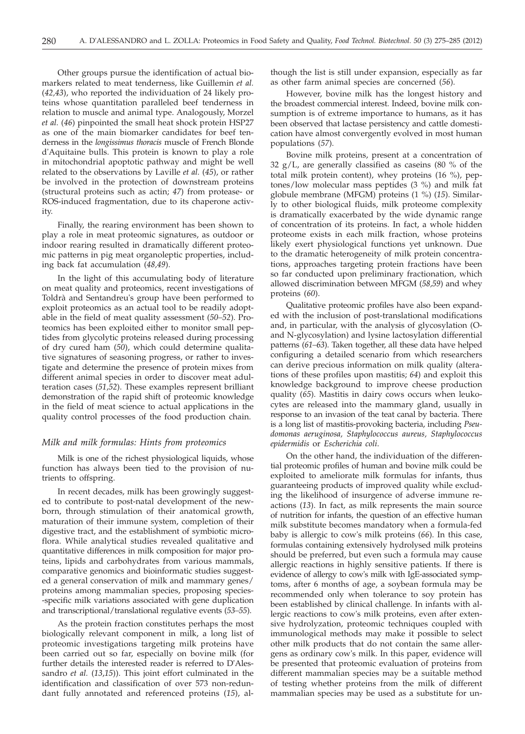Other groups pursue the identification of actual biomarkers related to meat tenderness, like Guillemin *et al.* (*42,43*), who reported the individuation of 24 likely proteins whose quantitation paralleled beef tenderness in relation to muscle and animal type. Analogously, Morzel *et al.* (*46*) pinpointed the small heat shock protein HSP27 as one of the main biomarker candidates for beef tenderness in the *longissimus thoracis* muscle of French Blonde d'Aquitaine bulls. This protein is known to play a role in mitochondrial apoptotic pathway and might be well related to the observations by Laville *et al.* (*45*), or rather be involved in the protection of downstream proteins (structural proteins such as actin; *47*) from protease- or ROS-induced fragmentation, due to its chaperone activity.

Finally, the rearing environment has been shown to play a role in meat proteomic signatures, as outdoor or indoor rearing resulted in dramatically different proteomic patterns in pig meat organoleptic properties, including back fat accumulation (*48,49*).

In the light of this accumulating body of literature on meat quality and proteomics, recent investigations of Toldrà and Sentandreu's group have been performed to exploit proteomics as an actual tool to be readily adoptable in the field of meat quality assessment (*50–52*). Proteomics has been exploited either to monitor small peptides from glycolytic proteins released during processing of dry cured ham (*50*), which could determine qualitative signatures of seasoning progress, or rather to investigate and determine the presence of protein mixes from different animal species in order to discover meat adulteration cases (*51,52*). These examples represent brilliant demonstration of the rapid shift of proteomic knowledge in the field of meat science to actual applications in the quality control processes of the food production chain.

## *Milk and milk formulas: Hints from proteomics*

Milk is one of the richest physiological liquids, whose function has always been tied to the provision of nutrients to offspring.

In recent decades, milk has been growingly suggested to contribute to post-natal development of the newborn, through stimulation of their anatomical growth, maturation of their immune system, completion of their digestive tract, and the establishment of symbiotic microflora. While analytical studies revealed qualitative and quantitative differences in milk composition for major proteins, lipids and carbohydrates from various mammals, comparative genomics and bioinformatic studies suggested a general conservation of milk and mammary genes/ proteins among mammalian species, proposing species- -specific milk variations associated with gene duplication and transcriptional/translational regulative events (*53–55*).

As the protein fraction constitutes perhaps the most biologically relevant component in milk, a long list of proteomic investigations targeting milk proteins have been carried out so far, especially on bovine milk (for further details the interested reader is referred to D'Alessandro *et al.* (*13*,*15*)). This joint effort culminated in the identification and classification of over 573 non-redundant fully annotated and referenced proteins (*15*), although the list is still under expansion, especially as far as other farm animal species are concerned (*56*).

However, bovine milk has the longest history and the broadest commercial interest. Indeed, bovine milk consumption is of extreme importance to humans, as it has been observed that lactase persistency and cattle domestication have almost convergently evolved in most human populations (*57*).

Bovine milk proteins, present at a concentration of 32 g/L, are generally classified as caseins (80 % of the total milk protein content), whey proteins (16 %), peptones/low molecular mass peptides (3 %) and milk fat globule membrane (MFGM) proteins (1 %) (*15*). Similarly to other biological fluids, milk proteome complexity is dramatically exacerbated by the wide dynamic range of concentration of its proteins. In fact, a whole hidden proteome exists in each milk fraction, whose proteins likely exert physiological functions yet unknown. Due to the dramatic heterogeneity of milk protein concentrations, approaches targeting protein fractions have been so far conducted upon preliminary fractionation, which allowed discrimination between MFGM (*58,59*) and whey proteins (*60*).

Qualitative proteomic profiles have also been expanded with the inclusion of post-translational modifications and, in particular, with the analysis of glycosylation (Oand N-glycosylation) and lysine lactosylation differential patterns (*61–63*). Taken together, all these data have helped configuring a detailed scenario from which researchers can derive precious information on milk quality (alterations of these profiles upon mastitis; *64*) and exploit this knowledge background to improve cheese production quality (*65*). Mastitis in dairy cows occurs when leukocytes are released into the mammary gland, usually in response to an invasion of the teat canal by bacteria. There is a long list of mastitis-provoking bacteria, including *Pseudomonas aeruginosa, Staphylococcus aureus, Staphylococcus epidermidis* or *Escherichia coli*.

On the other hand, the individuation of the differential proteomic profiles of human and bovine milk could be exploited to ameliorate milk formulas for infants, thus guaranteeing products of improved quality while excluding the likelihood of insurgence of adverse immune reactions (*13*). In fact, as milk represents the main source of nutrition for infants, the question of an effective human milk substitute becomes mandatory when a formula-fed baby is allergic to cow's milk proteins (*66*). In this case, formulas containing extensively hydrolysed milk proteins should be preferred, but even such a formula may cause allergic reactions in highly sensitive patients. If there is evidence of allergy to cow's milk with IgE-associated symptoms, after 6 months of age, a soybean formula may be recommended only when tolerance to soy protein has been established by clinical challenge. In infants with allergic reactions to cow's milk proteins, even after extensive hydrolyzation, proteomic techniques coupled with immunological methods may make it possible to select other milk products that do not contain the same allergens as ordinary cow's milk. In this paper, evidence will be presented that proteomic evaluation of proteins from different mammalian species may be a suitable method of testing whether proteins from the milk of different mammalian species may be used as a substitute for un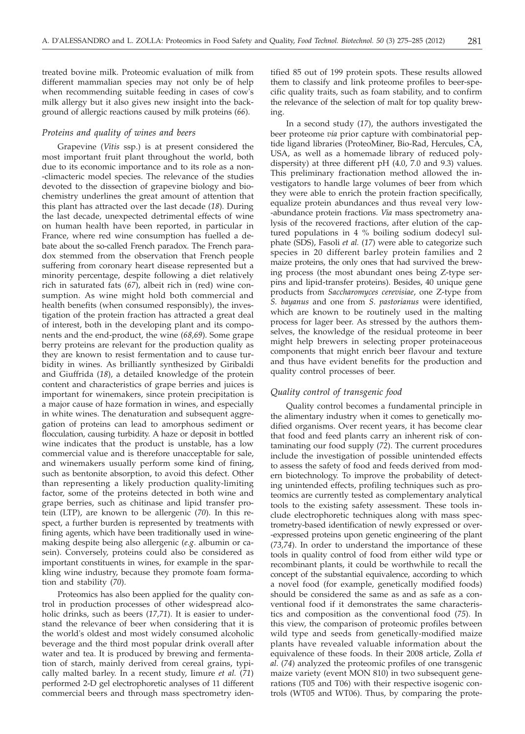treated bovine milk. Proteomic evaluation of milk from different mammalian species may not only be of help when recommending suitable feeding in cases of cow's milk allergy but it also gives new insight into the background of allergic reactions caused by milk proteins (*66*).

#### *Proteins and quality of wines and beers*

Grapevine (*Vitis* ssp.) is at present considered the most important fruit plant throughout the world, both due to its economic importance and to its role as a non- -climacteric model species. The relevance of the studies devoted to the dissection of grapevine biology and biochemistry underlines the great amount of attention that this plant has attracted over the last decade (*18*). During the last decade, unexpected detrimental effects of wine on human health have been reported, in particular in France, where red wine consumption has fuelled a debate about the so-called French paradox. The French paradox stemmed from the observation that French people suffering from coronary heart disease represented but a minority percentage, despite following a diet relatively rich in saturated fats (*67*), albeit rich in (red) wine consumption. As wine might hold both commercial and health benefits (when consumed responsibly), the investigation of the protein fraction has attracted a great deal of interest, both in the developing plant and its components and the end-product, the wine (*68,69*). Some grape berry proteins are relevant for the production quality as they are known to resist fermentation and to cause turbidity in wines. As brilliantly synthesized by Giribaldi and Giuffrida (*18*), a detailed knowledge of the protein content and characteristics of grape berries and juices is important for winemakers, since protein precipitation is a major cause of haze formation in wines, and especially in white wines. The denaturation and subsequent aggregation of proteins can lead to amorphous sediment or flocculation, causing turbidity. A haze or deposit in bottled wine indicates that the product is unstable, has a low commercial value and is therefore unacceptable for sale, and winemakers usually perform some kind of fining, such as bentonite absorption, to avoid this defect. Other than representing a likely production quality-limiting factor, some of the proteins detected in both wine and grape berries, such as chitinase and lipid transfer protein (LTP), are known to be allergenic (*70*). In this respect, a further burden is represented by treatments with fining agents, which have been traditionally used in winemaking despite being also allergenic (*e.g*. albumin or casein). Conversely, proteins could also be considered as important constituents in wines, for example in the sparkling wine industry, because they promote foam formation and stability (*70*).

Proteomics has also been applied for the quality control in production processes of other widespread alcoholic drinks, such as beers (*17,71*). It is easier to understand the relevance of beer when considering that it is the world's oldest and most widely consumed alcoholic beverage and the third most popular drink overall after water and tea. It is produced by brewing and fermentation of starch, mainly derived from cereal grains, typically malted barley. In a recent study, Iimure *et al.* (*71*) performed 2-D gel electrophoretic analyses of 11 different commercial beers and through mass spectrometry iden-

tified 85 out of 199 protein spots. These results allowed them to classify and link proteome profiles to beer-specific quality traits, such as foam stability, and to confirm the relevance of the selection of malt for top quality brewing.

In a second study (*17*), the authors investigated the beer proteome *via* prior capture with combinatorial peptide ligand libraries (ProteoMiner, Bio-Rad, Hercules, CA, USA, as well as a homemade library of reduced polydispersity) at three different pH (4.0, 7.0 and 9.3) values. This preliminary fractionation method allowed the investigators to handle large volumes of beer from which they were able to enrich the protein fraction specifically, equalize protein abundances and thus reveal very low- -abundance protein fractions. *Via* mass spectrometry analysis of the recovered fractions, after elution of the captured populations in 4 % boiling sodium dodecyl sulphate (SDS), Fasoli *et al.* (*17*) were able to categorize such species in 20 different barley protein families and 2 maize proteins, the only ones that had survived the brewing process (the most abundant ones being Z-type serpins and lipid-transfer proteins). Besides, 40 unique gene products from *Saccharomyces cerevisiae*, one Z-type from *S. bayanus* and one from *S. pastorianus* were identified, which are known to be routinely used in the malting process for lager beer. As stressed by the authors themselves, the knowledge of the residual proteome in beer might help brewers in selecting proper proteinaceous components that might enrich beer flavour and texture and thus have evident benefits for the production and quality control processes of beer.

#### *Quality control of transgenic food*

Quality control becomes a fundamental principle in the alimentary industry when it comes to genetically modified organisms. Over recent years, it has become clear that food and feed plants carry an inherent risk of contaminating our food supply (*72*). The current procedures include the investigation of possible unintended effects to assess the safety of food and feeds derived from modern biotechnology. To improve the probability of detecting unintended effects, profiling techniques such as proteomics are currently tested as complementary analytical tools to the existing safety assessment. These tools include electrophoretic techniques along with mass spectrometry-based identification of newly expressed or over- -expressed proteins upon genetic engineering of the plant (*73,74*). In order to understand the importance of these tools in quality control of food from either wild type or recombinant plants, it could be worthwhile to recall the concept of the substantial equivalence, according to which a novel food (for example, genetically modified foods) should be considered the same as and as safe as a conventional food if it demonstrates the same characteristics and composition as the conventional food (*75*). In this view, the comparison of proteomic profiles between wild type and seeds from genetically-modified maize plants have revealed valuable information about the equivalence of these foods. In their 2008 article, Zolla *et al.* (*74*) analyzed the proteomic profiles of one transgenic maize variety (event MON 810) in two subsequent generations (T05 and T06) with their respective isogenic controls (WT05 and WT06). Thus, by comparing the prote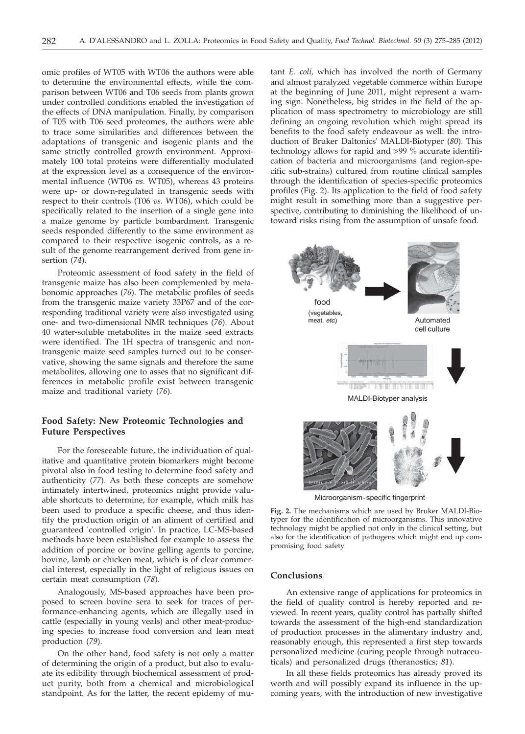omic profiles of WT05 with WT06 the authors were able to determine the environmental effects, while the comparison between WT06 and T06 seeds from plants grown under controlled conditions enabled the investigation of the effects of DNA manipulation. Finally, by comparison of T05 with T06 seed proteomes, the authors were able to trace some similarities and differences between the adaptations of transgenic and isogenic plants and the same strictly controlled growth environment. Approximately 100 total proteins were differentially modulated at the expression level as a consequence of the environmental influence (WT06 *vs.* WT05), whereas 43 proteins were up- or down-regulated in transgenic seeds with respect to their controls (T06 *vs.* WT06), which could be specifically related to the insertion of a single gene into a maize genome by particle bombardment. Transgenic seeds responded differently to the same environment as compared to their respective isogenic controls, as a result of the genome rearrangement derived from gene insertion (*74*).

Proteomic assessment of food safety in the field of transgenic maize has also been complemented by metabonomic approaches (*76*). The metabolic profiles of seeds from the transgenic maize variety 33P67 and of the corresponding traditional variety were also investigated using one- and two-dimensional NMR techniques (*76*). About 40 water-soluble metabolites in the maize seed extracts were identified. The 1H spectra of transgenic and nontransgenic maize seed samples turned out to be conservative, showing the same signals and therefore the same metabolites, allowing one to asses that no significant differences in metabolic profile exist between transgenic maize and traditional variety (*76*).

# **Food Safety: New Proteomic Technologies and Future Perspectives**

For the foreseeable future, the individuation of qualitative and quantitative protein biomarkers might become pivotal also in food testing to determine food safety and authenticity (*77*). As both these concepts are somehow intimately intertwined, proteomics might provide valuable shortcuts to determine, for example, which milk has been used to produce a specific cheese, and thus identify the production origin of an aliment of certified and guaranteed 'controlled origin'. In practice, LC-MS-based methods have been established for example to assess the addition of porcine or bovine gelling agents to porcine, bovine, lamb or chicken meat, which is of clear commercial interest, especially in the light of religious issues on certain meat consumption (*78*).

Analogously, MS-based approaches have been proposed to screen bovine sera to seek for traces of performance-enhancing agents, which are illegally used in cattle (especially in young veals) and other meat-producing species to increase food conversion and lean meat production (*79*).

On the other hand, food safety is not only a matter of determining the origin of a product, but also to evaluate its edibility through biochemical assessment of product purity, both from a chemical and microbiological standpoint. As for the latter, the recent epidemy of mutant *E. coli,* which has involved the north of Germany and almost paralyzed vegetable commerce within Europe at the beginning of June 2011, might represent a warning sign. Nonetheless, big strides in the field of the application of mass spectrometry to microbiology are still defining an ongoing revolution which might spread its benefits to the food safety endeavour as well: the introduction of Bruker Daltonics' MALDI-Biotyper (*80*). This technology allows for rapid and >99 % accurate identification of bacteria and microorganisms (and region-specific sub-strains) cultured from routine clinical samples through the identification of species-specific proteomics profiles (Fig. 2). Its application to the field of food safety might result in something more than a suggestive perspective, contributing to diminishing the likelihood of untoward risks rising from the assumption of unsafe food.



Microorganism-specific fingerprint

**Fig. 2.** The mechanisms which are used by Bruker MALDI-Biotyper for the identification of microorganisms. This innovative technology might be applied not only in the clinical setting, but also for the identification of pathogens which might end up compromising food safety

## **Conclusions**

An extensive range of applications for proteomics in the field of quality control is hereby reported and reviewed. In recent years, quality control has partially shifted towards the assessment of the high-end standardization of production processes in the alimentary industry and, reasonably enough, this represented a first step towards personalized medicine (curing people through nutraceuticals) and personalized drugs (theranostics; *81*).

In all these fields proteomics has already proved its worth and will possibly expand its influence in the upcoming years, with the introduction of new investigative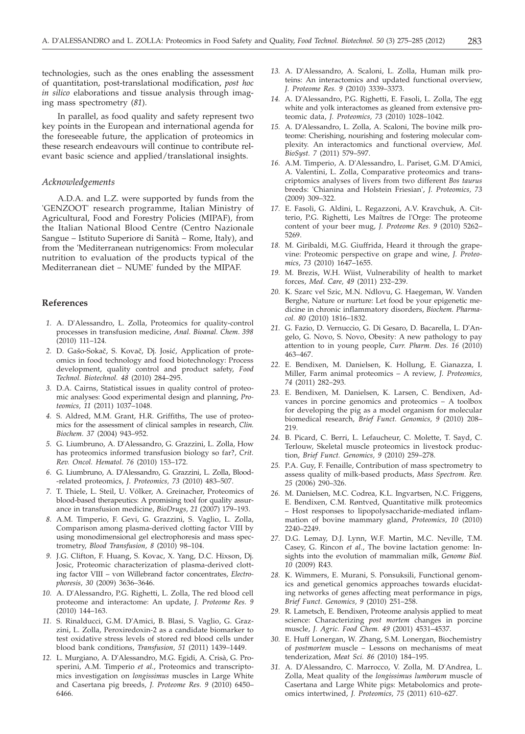technologies, such as the ones enabling the assessment of quantitation, post-translational modification, *post hoc in silico* elaborations and tissue analysis through imaging mass spectrometry (*81*).

In parallel, as food quality and safety represent two key points in the European and international agenda for the foreseeable future, the application of proteomics in these research endeavours will continue to contribute relevant basic science and applied/translational insights.

# *Acknowledgements*

A.D.A. and L.Z. were supported by funds from the 'GENZOOT' research programme, Italian Ministry of Agricultural, Food and Forestry Policies (MIPAF), from the Italian National Blood Centre (Centro Nazionale Sangue – Istituto Superiore di Sanità – Rome, Italy), and from the 'Mediterranean nutrigenomics: From molecular nutrition to evaluation of the products typical of the Mediterranean diet – NUME' funded by the MIPAF.

# **References**

- *1.* A. D'Alessandro, L. Zolla, Proteomics for quality-control processes in transfusion medicine, *Anal. Bioanal. Chem*. *398* (2010) 111–124.
- 2. D. Gašo-Sokač, S. Kovač, Dj. Josić, Application of proteomics in food technology and food biotechnology: Process development, quality control and product safety, *Food Technol. Biotechnol. 48* (2010) 284–295.
- *3.* D.A. Cairns, Statistical issues in quality control of proteomic analyses: Good experimental design and planning, *Proteomics, 11* (2011) 1037–1048.
- *4.* S. Aldred, M.M. Grant, H.R. Griffiths, The use of proteomics for the assessment of clinical samples in research, *Clin. Biochem. 37* (2004) 943–952.
- *5.* G. Liumbruno, A. D'Alessandro, G. Grazzini, L. Zolla, How has proteomics informed transfusion biology so far?, *Crit. Rev. Oncol. Hematol. 76* (2010) 153–172.
- *6.* G. Liumbruno, A. D'Alessandro, G. Grazzini, L. Zolla, Blood- -related proteomics, *J. Proteomics, 73* (2010) 483–507.
- *7.* T. Thiele, L. Steil, U. Völker, A. Greinacher, Proteomics of blood-based therapeutics: A promising tool for quality assurance in transfusion medicine, *BioDrugs, 21* (2007) 179–193.
- *8.* A.M. Timperio, F. Gevi, G. Grazzini, S. Vaglio, L. Zolla, Comparison among plasma-derived clotting factor VIII by using monodimensional gel electrophoresis and mass spectrometry, *Blood Transfusion, 8* (2010) 98–104.
- *9.* J.G. Clifton, F. Huang, S. Kovac, X. Yang, D.C. Hixson, Dj. Josic, Proteomic characterization of plasma-derived clotting factor VIII – von Willebrand factor concentrates, *Electrophoresis, 30* (2009) 3636–3646.
- *10.* A. D'Alessandro, P.G. Righetti, L. Zolla, The red blood cell proteome and interactome: An update, *J. Proteome Res. 9* (2010) 144–163.
- *11.* S. Rinalducci, G.M. D'Amici, B. Blasi, S. Vaglio, G. Grazzini, L. Zolla, Peroxiredoxin-2 as a candidate biomarker to test oxidative stress levels of stored red blood cells under blood bank conditions, *Transfusion, 51* (2011) 1439–1449.
- *12.* L. Murgiano, A. D'Alessandro, M.G. Egidi, A. Crisà, G. Prosperini, A.M. Timperio *et al.*, Proteomics and transcriptomics investigation on *longissimus* muscles in Large White and Casertana pig breeds, *J. Proteome Res. 9* (2010) 6450– 6466.
- *13.* A. D'Alessandro, A. Scaloni, L. Zolla, Human milk proteins: An interactomics and updated functional overview, *J. Proteome Res. 9* (2010) 3339–3373.
- *14.* A. D'Alessandro, P.G. Righetti, E. Fasoli, L. Zolla, The egg white and yolk interactomes as gleaned from extensive proteomic data, *J. Proteomics, 73* (2010) 1028–1042.
- *15.* A. D'Alessandro, L. Zolla, A. Scaloni, The bovine milk proteome: Cherishing, nourishing and fostering molecular complexity. An interactomics and functional overview, *Mol. BioSyst. 7* (2011) 579–597.
- *16.* A.M. Timperio, A. D'Alessandro, L. Pariset, G.M. D'Amici, A. Valentini, L. Zolla, Comparative proteomics and transcriptomics analyses of livers from two different *Bos taurus* breeds: 'Chianina and Holstein Friesian', *J. Proteomics, 73* (2009) 309–322.
- *17.* E. Fasoli, G. Aldini, L. Regazzoni, A.V. Kravchuk, A. Citterio, P.G. Righetti, Les Maîtres de l'Orge: The proteome content of your beer mug, *J. Proteome Res. 9* (2010) 5262– 5269.
- *18.* M. Giribaldi, M.G. Giuffrida, Heard it through the grapevine: Proteomic perspective on grape and wine, *J. Proteomics, 73* (2010) 1647–1655.
- *19.* M. Brezis, W.H. Wiist, Vulnerability of health to market forces, *Med. Care, 49* (2011) 232–239.
- *20.* K. Szarc vel Szic, M.N. Ndlovu, G. Haegeman, W. Vanden Berghe, Nature or nurture: Let food be your epigenetic medicine in chronic inflammatory disorders, *Biochem. Pharmacol. 80* (2010) 1816–1832.
- *21.* G. Fazio, D. Vernuccio, G. Di Gesaro, D. Bacarella, L. D'Angelo, G. Novo, S. Novo, Obesity: A new pathology to pay attention to in young people, *Curr. Pharm. Des. 16* (2010) 463–467.
- *22.* E. Bendixen, M. Danielsen, K. Hollung, E. Gianazza, I. Miller, Farm animal proteomics – A review, *J. Proteomics, 74* (2011) 282–293.
- *23.* E. Bendixen, M. Danielsen, K. Larsen, C. Bendixen, Advances in porcine genomics and proteomics – A toolbox for developing the pig as a model organism for molecular biomedical research, *Brief Funct. Genomics, 9* (2010) 208– 219.
- *24.* B. Picard, C. Berri, L. Lefaucheur, C. Molette, T. Sayd, C. Terlouw, Skeletal muscle proteomics in livestock production, *Brief Funct. Genomics, 9* (2010) 259–278.
- *25.* P.A. Guy, F. Fenaille, Contribution of mass spectrometry to assess quality of milk-based products, *Mass Spectrom. Rev. 25* (2006) 290–326.
- *26.* M. Danielsen, M.C. Codrea, K.L. Ingvartsen, N.C. Friggens, E. Bendixen, C.M. Røntved, Quantitative milk proteomics – Host responses to lipopolysaccharide-mediated inflammation of bovine mammary gland, *Proteomics, 10* (2010) 2240–2249.
- *27.* D.G. Lemay, D.J. Lynn, W.F. Martin, M.C. Neville, T.M. Casey, G. Rincon *et al*., The bovine lactation genome: Insights into the evolution of mammalian milk, *Genome Biol. 10* (2009) R43.
- *28.* K. Wimmers, E. Murani, S. Ponsuksili, Functional genomics and genetical genomics approaches towards elucidating networks of genes affecting meat performance in pigs, *Brief Funct. Genomics, 9* (2010) 251–258.
- *29.* R. Lametsch, E. Bendixen, Proteome analysis applied to meat science: Characterizing *post mortem* changes in porcine muscle, *J. Agric. Food Chem. 49* (2001) 4531–4537.
- *30.* E. Huff Lonergan, W. Zhang, S.M. Lonergan, Biochemistry of *postmortem* muscle – Lessons on mechanisms of meat tenderization, *Meat Sci. 86* (2010) 184–195.
- *31.* A. D'Alessandro, C. Marrocco, V. Zolla, M. D'Andrea, L. Zolla, Meat quality of the *longissimus lumborum* muscle of Casertana and Large White pigs: Metabolomics and proteomics intertwined, *J. Proteomics, 75* (2011) 610–627.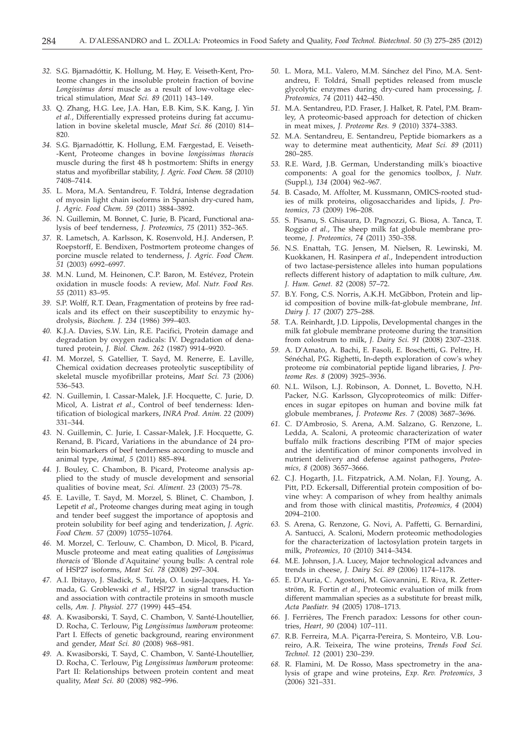- *32.* S.G. Bjarnadóttir, K. Hollung, M. Høy, E. Veiseth-Kent, Proteome changes in the insoluble protein fraction of bovine *Longissimus dorsi* muscle as a result of low-voltage electrical stimulation, *Meat Sci. 89* (2011) 143–149.
- *33.* Q. Zhang, H.G. Lee, J.A. Han, E.B. Kim, S.K. Kang, J. Yin *et al.*, Differentially expressed proteins during fat accumulation in bovine skeletal muscle, *Meat Sci. 86* (2010) 814– 820.
- *34.* S.G. Bjarnadóttir, K. Hollung, E.M. Færgestad, E. Veiseth- -Kent, Proteome changes in bovine *longissimus thoracis* muscle during the first 48 h postmortem: Shifts in energy status and myofibrillar stability, *J. Agric. Food Chem. 58* (2010) 7408–7414.
- *35.* L. Mora, M.A. Sentandreu, F. Toldrá, Intense degradation of myosin light chain isoforms in Spanish dry-cured ham, *J. Agric. Food Chem. 59* (2011) 3884–3892.
- *36.* N. Guillemin, M. Bonnet, C. Jurie, B. Picard, Functional analysis of beef tenderness, *J. Proteomics, 75* (2011) 352–365.
- *37.* R. Lametsch, A. Karlsson, K. Rosenvold, H.J. Andersen, P. Roepstorff, E. Bendixen, Postmortem proteome changes of porcine muscle related to tenderness, *J. Agric. Food Chem. 51* (2003) 6992–6997.
- *38.* M.N. Lund, M. Heinonen, C.P. Baron, M. Estévez, Protein oxidation in muscle foods: A review, *Mol. Nutr. Food Res. 55* (2011) 83–95.
- *39.* S.P. Wolff, R.T. Dean, Fragmentation of proteins by free radicals and its effect on their susceptibility to enzymic hydrolysis, *Biochem. J. 234* (1986) 399–403.
- *40.* K.J.A. Davies, S.W. Lin, R.E. Pacifici, Protein damage and degradation by oxygen radicals: IV. Degradation of denatured protein, *J. Biol. Chem. 262* (1987) 9914–9920.
- *41.* M. Morzel, S. Gatellier, T. Sayd, M. Renerre, E. Laville, Chemical oxidation decreases proteolytic susceptibility of skeletal muscle myofibrillar proteins, *Meat Sci. 73* (2006) 536–543.
- *42.* N. Guillemin, I. Cassar-Malek, J.F. Hocquette, C. Jurie, D. Micol, A. Listrat *et al*., Control of beef tenderness: Identification of biological markers, *INRA Prod. Anim. 22* (2009) 331–344.
- *43.* N. Guillemin, C. Jurie, I. Cassar-Malek, J.F. Hocquette, G. Renand, B. Picard, Variations in the abundance of 24 protein biomarkers of beef tenderness according to muscle and animal type, *Animal, 5* (2011) 885–894.
- *44.* J. Bouley, C. Chambon, B. Picard, Proteome analysis applied to the study of muscle development and sensorial qualities of bovine meat, *Sci. Aliment. 23* (2003) 75–78.
- *45.* E. Laville, T. Sayd, M. Morzel, S. Blinet, C. Chambon, J. Lepetit *et al*., Proteome changes during meat aging in tough and tender beef suggest the importance of apoptosis and protein solubility for beef aging and tenderization, *J. Agric. Food Chem. 57* (2009) 10755–10764.
- *46.* M. Morzel, C. Terlouw, C. Chambon, D. Micol, B. Picard, Muscle proteome and meat eating qualities of *Longissimus thoracis* of 'Blonde d'Aquitaine' young bulls: A central role of HSP27 isoforms, *Meat Sci. 78* (2008) 297–304.
- *47.* A.I. Ibitayo, J. Sladick, S. Tuteja, O. Louis-Jacques, H. Yamada, G. Groblewski *et al.*, HSP27 in signal transduction and association with contractile proteins in smooth muscle cells, *Am. J. Physiol. 277* (1999) 445–454.
- *48.* A. Kwasiborski, T. Sayd, C. Chambon, V. Santé-Lhoutellier, D. Rocha, C. Terlouw, Pig *Longissimus lumborum* proteome: Part I. Effects of genetic background, rearing environment and gender, *Meat Sci. 80* (2008) 968–981.
- *49.* A. Kwasiborski, T. Sayd, C. Chambon, V. Santé-Lhoutellier, D. Rocha, C. Terlouw, Pig *Longissimus lumborum* proteome: Part II: Relationships between protein content and meat quality, *Meat Sci. 80* (2008) 982–996.
- *50.* L. Mora, M.L. Valero, M.M. Sánchez del Pino, M.A. Sentandreu, F. Toldrá, Small peptides released from muscle glycolytic enzymes during dry-cured ham processing, *J. Proteomics, 74* (2011) 442–450.
- *51.* M.A. Sentandreu, P.D. Fraser, J. Halket, R. Patel, P.M. Bramley, A proteomic-based approach for detection of chicken in meat mixes, *J. Proteome Res. 9* (2010) 3374–3383.
- *52.* M.A. Sentandreu, E. Sentandreu, Peptide biomarkers as a way to determine meat authenticity, *Meat Sci. 89* (2011) 280–285.
- *53.* R.E. Ward, J.B. German, Understanding milk's bioactive components: A goal for the genomics toolbox, *J. Nutr.* (Suppl.)*, 134* (2004) 962–967.
- *54.* B. Casado, M. Affolter, M. Kussmann, OMICS-rooted studies of milk proteins, oligosaccharides and lipids, *J. Proteomics, 73* (2009) 196–208.
- *55.* S. Pisanu, S. Ghisaura, D. Pagnozzi, G. Biosa, A. Tanca, T. Roggio *et al*., The sheep milk fat globule membrane proteome, *J. Proteomics, 74* (2011) 350–358.
- *56.* N.S. Enattah, T.G. Jensen, M. Nielsen, R. Lewinski, M. Kuokkanen, H. Rasinpera *et al*., Independent introduction of two lactase-persistence alleles into human populations reflects different history of adaptation to milk culture, *Am. J. Hum. Genet. 82* (2008) 57–72.
- *57.* B.Y. Fong, C.S. Norris, A.K.H. McGibbon, Protein and lipid composition of bovine milk-fat-globule membrane, *Int. Dairy J. 17* (2007) 275–288.
- *58.* T.A. Reinhardt, J.D. Lippolis, Developmental changes in the milk fat globule membrane proteome during the transition from colostrum to milk, *J. Dairy Sci. 91* (2008) 2307–2318.
- *59.* A. D'Amato, A. Bachi, E. Fasoli, E. Boschetti, G. Peltre, H. Sénéchal, P.G. Righetti, In-depth exploration of cow's whey proteome *via* combinatorial peptide ligand libraries, *J. Proteome Res. 8* (2009) 3925–3936.
- *60.* N.L. Wilson, L.J. Robinson, A. Donnet, L. Bovetto, N.H. Packer, N.G. Karlsson, Glycoproteomics of milk: Differences in sugar epitopes on human and bovine milk fat globule membranes, *J. Proteome Res. 7* (2008) 3687–3696.
- *61.* C. D'Ambrosio, S. Arena, A.M. Salzano, G. Renzone, L. Ledda, A. Scaloni, A proteomic characterization of water buffalo milk fractions describing PTM of major species and the identification of minor components involved in nutrient delivery and defense against pathogens, *Proteomics, 8* (2008) 3657–3666.
- *62.* C.J. Hogarth, J.L. Fitzpatrick, A.M. Nolan, F.J. Young, A. Pitt, P.D. Eckersall, Differential protein composition of bovine whey: A comparison of whey from healthy animals and from those with clinical mastitis, *Proteomics, 4* (2004) 2094–2100.
- *63.* S. Arena, G. Renzone, G. Novi, A. Paffetti, G. Bernardini, A. Santucci, A. Scaloni, Modern proteomic methodologies for the characterization of lactosylation protein targets in milk, *Proteomics, 10* (2010) 3414–3434.
- *64.* M.E. Johnson, J.A. Lucey, Major technological advances and trends in cheese, *J. Dairy Sci. 89* (2006) 1174–1178.
- *65.* E. D'Auria, C. Agostoni, M. Giovannini, E. Riva, R. Zetterström, R. Fortin *et al.*, Proteomic evaluation of milk from different mammalian species as a substitute for breast milk, *Acta Paediatr. 94* (2005) 1708–1713.
- *66.* J. Ferrières, The French paradox: Lessons for other countries, *Heart, 90* (2004) 107–111.
- *67.* R.B. Ferreira, M.A. Piçarra-Pereira, S. Monteiro, V.B. Loureiro, A.R. Teixeira, The wine proteins, *Trends Food Sci. Technol. 12* (2001) 230–239.
- *68.* R. Flamini, M. De Rosso, Mass spectrometry in the analysis of grape and wine proteins, *Exp. Rev. Proteomics, 3* (2006) 321–331.